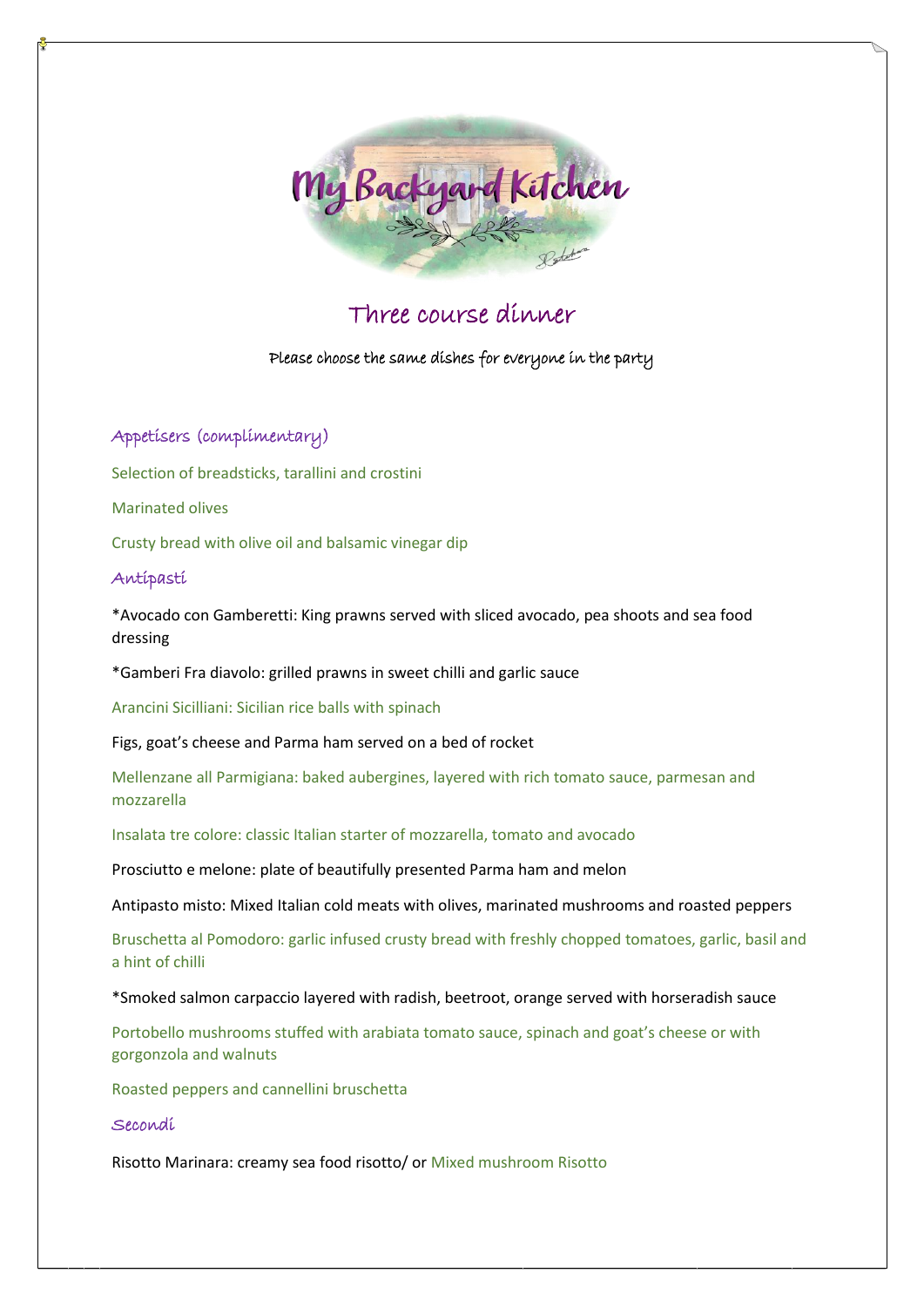

# Three course dinner

Please choose the same dishes for everyone in the party

Appetisers (complimentary)

Selection of breadsticks, tarallini and crostini

Marinated olives

Crusty bread with olive oil and balsamic vinegar dip

## Antipasti

\*Avocado con Gamberetti: King prawns served with sliced avocado, pea shoots and sea food dressing

\*Gamberi Fra diavolo: grilled prawns in sweet chilli and garlic sauce

Arancini Sicilliani: Sicilian rice balls with spinach

Figs, goat's cheese and Parma ham served on a bed of rocket

Mellenzane all Parmigiana: baked aubergines, layered with rich tomato sauce, parmesan and mozzarella

Insalata tre colore: classic Italian starter of mozzarella, tomato and avocado

Prosciutto e melone: plate of beautifully presented Parma ham and melon

Antipasto misto: Mixed Italian cold meats with olives, marinated mushrooms and roasted peppers

Bruschetta al Pomodoro: garlic infused crusty bread with freshly chopped tomatoes, garlic, basil and a hint of chilli

\*Smoked salmon carpaccio layered with radish, beetroot, orange served with horseradish sauce

Portobello mushrooms stuffed with arabiata tomato sauce, spinach and goat's cheese or with gorgonzola and walnuts

Roasted peppers and cannellini bruschetta

## Secondi

Risotto Marinara: creamy sea food risotto/ or Mixed mushroom Risotto